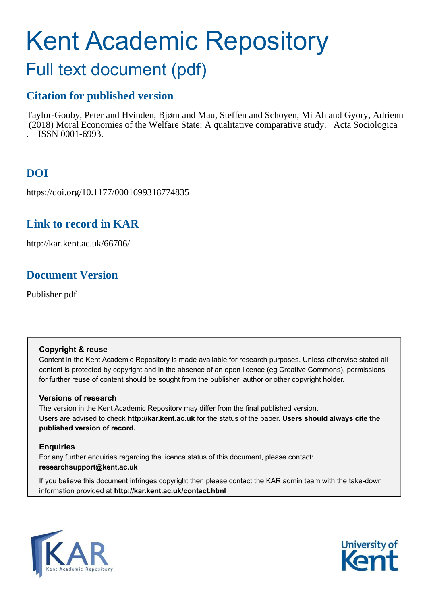# Kent Academic Repository

## Full text document (pdf)

## **Citation for published version**

Taylor-Gooby, Peter and Hvinden, Bjørn and Mau, Steffen and Schoyen, Mi Ah and Gyory, Adrienn (2018) Moral Economies of the Welfare State: A qualitative comparative study. Acta Sociologica . ISSN 0001-6993.

## **DOI**

https://doi.org/10.1177/0001699318774835

## **Link to record in KAR**

http://kar.kent.ac.uk/66706/

## **Document Version**

Publisher pdf

#### **Copyright & reuse**

Content in the Kent Academic Repository is made available for research purposes. Unless otherwise stated all content is protected by copyright and in the absence of an open licence (eg Creative Commons), permissions for further reuse of content should be sought from the publisher, author or other copyright holder.

#### **Versions of research**

The version in the Kent Academic Repository may differ from the final published version. Users are advised to check **http://kar.kent.ac.uk** for the status of the paper. **Users should always cite the published version of record.**

#### **Enquiries**

For any further enquiries regarding the licence status of this document, please contact: **researchsupport@kent.ac.uk**

If you believe this document infringes copyright then please contact the KAR admin team with the take-down information provided at **http://kar.kent.ac.uk/contact.html**



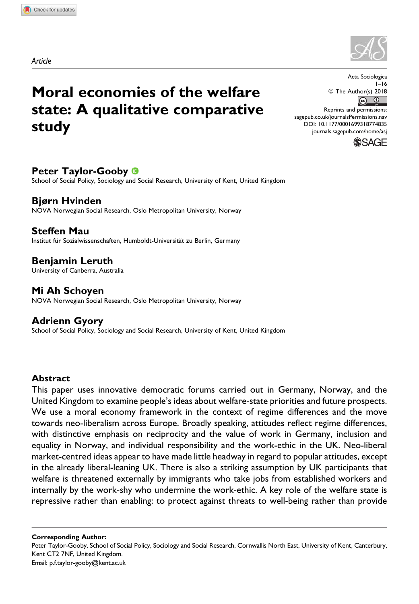*Article*



## Moral economies of the welfare state: A qualitative comparative study

Acta Sociologica  $1 - 16$ © The Author(s) 2018  $\circ$   $\circ$ 

Reprints and permissions: [sagepub.co.uk/journalsPermissions.nav](https://uk.sagepub.com/en-gb/journals-permissions) [DOI: 10.1177/0001699318774835](https://doi.org/10.1177/0001699318774835) [journals.sagepub.com/home/asj](http://journals.sagepub.com/home/asj)



#### Peter Taylor-Gooby **D**

School of Social Policy, Sociology and Social Research, University of Kent, United Kingdom

Bjørn Hvinden NOVA Norwegian Social Research, Oslo Metropolitan University, Norway

Steffen Mau Institut für Sozialwissenschaften, Humboldt-Universität zu Berlin, Germany

Benjamin Leruth

University of Canberra, Australia

Mi Ah Schoyen NOVA Norwegian Social Research, Oslo Metropolitan University, Norway

#### Adrienn Gyory

School of Social Policy, Sociology and Social Research, University of Kent, United Kingdom

#### Abstract

This paper uses innovative democratic forums carried out in Germany, Norway, and the United Kingdom to examine people's ideas about welfare-state priorities and future prospects. We use a moral economy framework in the context of regime differences and the move towards neo-liberalism across Europe. Broadly speaking, attitudes reflect regime differences, with distinctive emphasis on reciprocity and the value of work in Germany, inclusion and equality in Norway, and individual responsibility and the work-ethic in the UK. Neo-liberal market-centred ideas appear to have made little headway in regard to popular attitudes, except in the already liberal-leaning UK. There is also a striking assumption by UK participants that welfare is threatened externally by immigrants who take jobs from established workers and internally by the work-shy who undermine the work-ethic. A key role of the welfare state is repressive rather than enabling: to protect against threats to well-being rather than provide

Corresponding Author: Peter Taylor-Gooby, School of Social Policy, Sociology and Social Research, Cornwallis North East, University of Kent, Canterbury, Kent CT2 7NF, United Kingdom. Email: [p.f.taylor-gooby@kent.ac.uk](mailto:p.f.taylor-gooby@kent.ac.uk)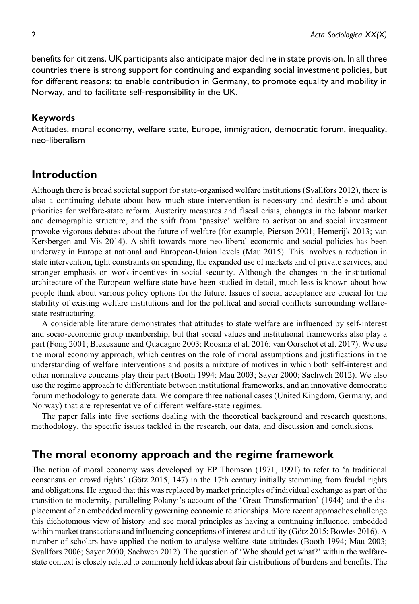benefits for citizens. UK participants also anticipate major decline in state provision. In all three countries there is strong support for continuing and expanding social investment policies, but for different reasons: to enable contribution in Germany, to promote equality and mobility in Norway, and to facilitate self-responsibility in the UK.

#### Keywords

Attitudes, moral economy, welfare state, Europe, immigration, democratic forum, inequality, neo-liberalism

#### Introduction

Although there is broad societal support for state-organised welfare institutions (Svallfors 2012), there is also a continuing debate about how much state intervention is necessary and desirable and about priorities for welfare-state reform. Austerity measures and fiscal crisis, changes in the labour market and demographic structure, and the shift from 'passive' welfare to activation and social investment provoke vigorous debates about the future of welfare (for example, Pierson 2001; Hemerijk 2013; van Kersbergen and Vis 2014). A shift towards more neo-liberal economic and social policies has been underway in Europe at national and European-Union levels (Mau 2015). This involves a reduction in state intervention, tight constraints on spending, the expanded use of markets and of private services, and stronger emphasis on work-incentives in social security. Although the changes in the institutional architecture of the European welfare state have been studied in detail, much less is known about how people think about various policy options for the future. Issues of social acceptance are crucial for the stability of existing welfare institutions and for the political and social conflicts surrounding welfarestate restructuring.

A considerable literature demonstrates that attitudes to state welfare are influenced by self-interest and socio-economic group membership, but that social values and institutional frameworks also play a part (Fong 2001; Blekesaune and Quadagno 2003; Roosma et al. 2016; van Oorschot et al. 2017). We use the moral economy approach, which centres on the role of moral assumptions and justifications in the understanding of welfare interventions and posits a mixture of motives in which both self-interest and other normative concerns play their part (Booth 1994; Mau 2003; Sayer 2000; Sachweh 2012). We also use the regime approach to differentiate between institutional frameworks, and an innovative democratic forum methodology to generate data. We compare three national cases (United Kingdom, Germany, and Norway) that are representative of different welfare-state regimes.

The paper falls into five sections dealing with the theoretical background and research questions, methodology, the specific issues tackled in the research, our data, and discussion and conclusions.

#### The moral economy approach and the regime framework

The notion of moral economy was developed by EP Thomson (1971, 1991) to refer to 'a traditional consensus on crowd rights' (Götz 2015, 147) in the 17th century initially stemming from feudal rights and obligations. He argued that this was replaced by market principles of individual exchange as part of the transition to modernity, paralleling Polanyi's account of the 'Great Transformation' (1944) and the displacement of an embedded morality governing economic relationships. More recent approaches challenge this dichotomous view of history and see moral principles as having a continuing influence, embedded within market transactions and influencing conceptions of interest and utility (Götz 2015; Bowles 2016). A number of scholars have applied the notion to analyse welfare-state attitudes (Booth 1994; Mau 2003; Svallfors 2006; Sayer 2000, Sachweh 2012). The question of 'Who should get what?' within the welfarestate context is closely related to commonly held ideas about fair distributions of burdens and benefits. The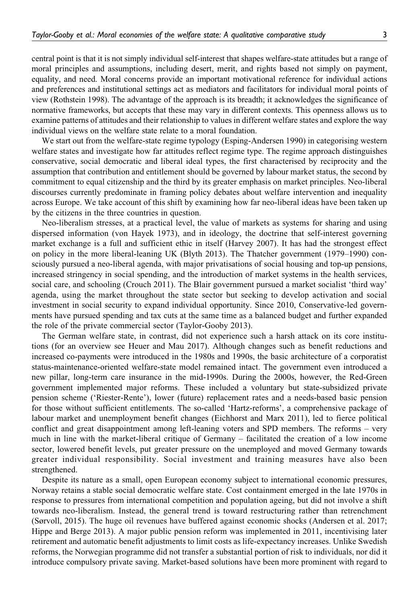central point is that it is not simply individual self-interest that shapes welfare-state attitudes but a range of moral principles and assumptions, including desert, merit, and rights based not simply on payment, equality, and need. Moral concerns provide an important motivational reference for individual actions and preferences and institutional settings act as mediators and facilitators for individual moral points of view (Rothstein 1998). The advantage of the approach is its breadth; it acknowledges the significance of normative frameworks, but accepts that these may vary in different contexts. This openness allows us to examine patterns of attitudes and their relationship to values in different welfare states and explore the way individual views on the welfare state relate to a moral foundation.

We start out from the welfare-state regime typology (Esping-Andersen 1990) in categorising western welfare states and investigate how far attitudes reflect regime type. The regime approach distinguishes conservative, social democratic and liberal ideal types, the first characterised by reciprocity and the assumption that contribution and entitlement should be governed by labour market status, the second by commitment to equal citizenship and the third by its greater emphasis on market principles. Neo-liberal discourses currently predominate in framing policy debates about welfare intervention and inequality across Europe. We take account of this shift by examining how far neo-liberal ideas have been taken up by the citizens in the three countries in question.

Neo-liberalism stresses, at a practical level, the value of markets as systems for sharing and using dispersed information (von Hayek 1973), and in ideology, the doctrine that self-interest governing market exchange is a full and sufficient ethic in itself (Harvey 2007). It has had the strongest effect on policy in the more liberal-leaning UK (Blyth 2013). The Thatcher government (1979–1990) consciously pursued a neo-liberal agenda, with major privatisations of social housing and top-up pensions, increased stringency in social spending, and the introduction of market systems in the health services, social care, and schooling (Crouch 2011). The Blair government pursued a market socialist 'third way' agenda, using the market throughout the state sector but seeking to develop activation and social investment in social security to expand individual opportunity. Since 2010, Conservative-led governments have pursued spending and tax cuts at the same time as a balanced budget and further expanded the role of the private commercial sector (Taylor-Gooby 2013).

The German welfare state, in contrast, did not experience such a harsh attack on its core institutions (for an overview see Heuer and Mau 2017). Although changes such as benefit reductions and increased co-payments were introduced in the 1980s and 1990s, the basic architecture of a corporatist status-maintenance-oriented welfare-state model remained intact. The government even introduced a new pillar, long-term care insurance in the mid-1990s. During the 2000s, however, the Red-Green government implemented major reforms. These included a voluntary but state-subsidized private pension scheme ('Riester-Rente'), lower (future) replacement rates and a needs-based basic pension for those without sufficient entitlements. The so-called 'Hartz-reforms', a comprehensive package of labour market and unemployment benefit changes (Eichhorst and Marx 2011), led to fierce political conflict and great disappointment among left-leaning voters and SPD members. The reforms – very much in line with the market-liberal critique of Germany – facilitated the creation of a low income sector, lowered benefit levels, put greater pressure on the unemployed and moved Germany towards greater individual responsibility. Social investment and training measures have also been strengthened.

Despite its nature as a small, open European economy subject to international economic pressures, Norway retains a stable social democratic welfare state. Cost containment emerged in the late 1970s in response to pressures from international competition and population ageing, but did not involve a shift towards neo-liberalism. Instead, the general trend is toward restructuring rather than retrenchment (Sørvoll, 2015). The huge oil revenues have buffered against economic shocks (Andersen et al. 2017; Hippe and Berge 2013). A major public pension reform was implemented in 2011, incentivising later retirement and automatic benefit adjustments to limit costs as life-expectancy increases. Unlike Swedish reforms, the Norwegian programme did not transfer a substantial portion of risk to individuals, nor did it introduce compulsory private saving. Market-based solutions have been more prominent with regard to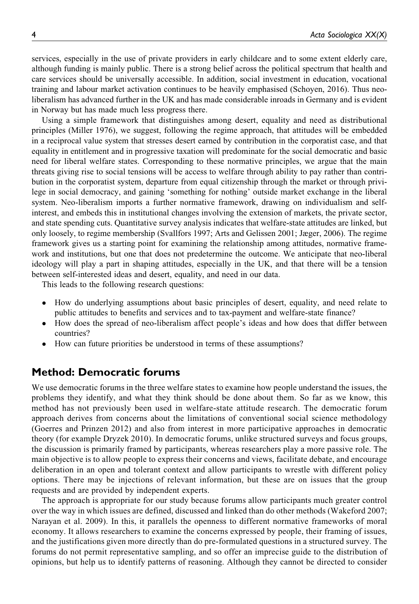services, especially in the use of private providers in early childcare and to some extent elderly care, although funding is mainly public. There is a strong belief across the political spectrum that health and care services should be universally accessible. In addition, social investment in education, vocational training and labour market activation continues to be heavily emphasised (Schoyen, 2016). Thus neoliberalism has advanced further in the UK and has made considerable inroads in Germany and is evident in Norway but has made much less progress there.

Using a simple framework that distinguishes among desert, equality and need as distributional principles (Miller 1976), we suggest, following the regime approach, that attitudes will be embedded in a reciprocal value system that stresses desert earned by contribution in the corporatist case, and that equality in entitlement and in progressive taxation will predominate for the social democratic and basic need for liberal welfare states. Corresponding to these normative principles, we argue that the main threats giving rise to social tensions will be access to welfare through ability to pay rather than contribution in the corporatist system, departure from equal citizenship through the market or through privilege in social democracy, and gaining 'something for nothing' outside market exchange in the liberal system. Neo-liberalism imports a further normative framework, drawing on individualism and selfinterest, and embeds this in institutional changes involving the extension of markets, the private sector, and state spending cuts. Quantitative survey analysis indicates that welfare-state attitudes are linked, but only loosely, to regime membership (Svallfors 1997; Arts and Gelissen 2001; Jæger, 2006). The regime framework gives us a starting point for examining the relationship among attitudes, normative framework and institutions, but one that does not predetermine the outcome. We anticipate that neo-liberal ideology will play a part in shaping attitudes, especially in the UK, and that there will be a tension between self-interested ideas and desert, equality, and need in our data.

This leads to the following research questions:

- $\bullet$  How do underlying assumptions about basic principles of desert, equality, and need relate to public attitudes to benefits and services and to tax-payment and welfare-state finance?
- $\bullet$  How does the spread of neo-liberalism affect people's ideas and how does that differ between countries?
- $\bullet$ How can future priorities be understood in terms of these assumptions?

#### Method: Democratic forums

We use democratic forums in the three welfare states to examine how people understand the issues, the problems they identify, and what they think should be done about them. So far as we know, this method has not previously been used in welfare-state attitude research. The democratic forum approach derives from concerns about the limitations of conventional social science methodology (Goerres and Prinzen 2012) and also from interest in more participative approaches in democratic theory (for example Dryzek 2010). In democratic forums, unlike structured surveys and focus groups, the discussion is primarily framed by participants, whereas researchers play a more passive role. The main objective is to allow people to express their concerns and views, facilitate debate, and encourage deliberation in an open and tolerant context and allow participants to wrestle with different policy options. There may be injections of relevant information, but these are on issues that the group requests and are provided by independent experts.

The approach is appropriate for our study because forums allow participants much greater control over the way in which issues are defined, discussed and linked than do other methods (Wakeford 2007; Narayan et al. 2009). In this, it parallels the openness to different normative frameworks of moral economy. It allows researchers to examine the concerns expressed by people, their framing of issues, and the justifications given more directly than do pre-formulated questions in a structured survey. The forums do not permit representative sampling, and so offer an imprecise guide to the distribution of opinions, but help us to identify patterns of reasoning. Although they cannot be directed to consider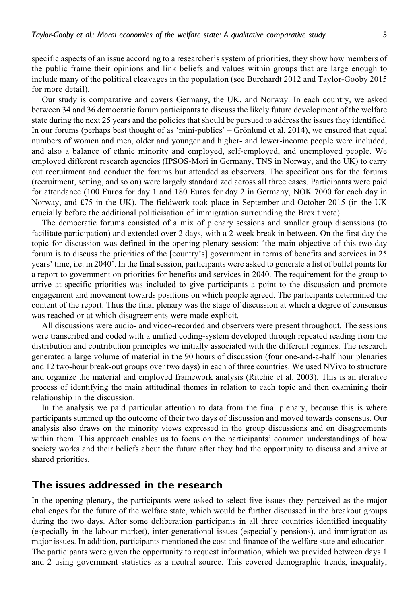specific aspects of an issue according to a researcher's system of priorities, they show how members of the public frame their opinions and link beliefs and values within groups that are large enough to include many of the political cleavages in the population (see Burchardt 2012 and Taylor-Gooby 2015 for more detail).

Our study is comparative and covers Germany, the UK, and Norway. In each country, we asked between 34 and 36 democratic forum participants to discuss the likely future development of the welfare state during the next 25 years and the policies that should be pursued to address the issues they identified. In our forums (perhaps best thought of as 'mini-publics' – Grönlund et al. 2014), we ensured that equal numbers of women and men, older and younger and higher- and lower-income people were included, and also a balance of ethnic minority and employed, self-employed, and unemployed people. We employed different research agencies (IPSOS-Mori in Germany, TNS in Norway, and the UK) to carry out recruitment and conduct the forums but attended as observers. The specifications for the forums (recruitment, setting, and so on) were largely standardized across all three cases. Participants were paid for attendance (100 Euros for day 1 and 180 Euros for day 2 in Germany, NOK 7000 for each day in Norway, and £75 in the UK). The fieldwork took place in September and October 2015 (in the UK crucially before the additional politicisation of immigration surrounding the Brexit vote).

The democratic forums consisted of a mix of plenary sessions and smaller group discussions (to facilitate participation) and extended over 2 days, with a 2-week break in between. On the first day the topic for discussion was defined in the opening plenary session: 'the main objective of this two-day forum is to discuss the priorities of the [country's] government in terms of benefits and services in 25 years' time, i.e. in 2040'. In the final session, participants were asked to generate a list of bullet points for a report to government on priorities for benefits and services in 2040. The requirement for the group to arrive at specific priorities was included to give participants a point to the discussion and promote engagement and movement towards positions on which people agreed. The participants determined the content of the report. Thus the final plenary was the stage of discussion at which a degree of consensus was reached or at which disagreements were made explicit.

All discussions were audio- and video-recorded and observers were present throughout. The sessions were transcribed and coded with a unified coding-system developed through repeated reading from the distribution and contribution principles we initially associated with the different regimes. The research generated a large volume of material in the 90 hours of discussion (four one-and-a-half hour plenaries and 12 two-hour break-out groups over two days) in each of three countries. We used NVivo to structure and organize the material and employed framework analysis (Ritchie et al. 2003). This is an iterative process of identifying the main attitudinal themes in relation to each topic and then examining their relationship in the discussion.

In the analysis we paid particular attention to data from the final plenary, because this is where participants summed up the outcome of their two days of discussion and moved towards consensus. Our analysis also draws on the minority views expressed in the group discussions and on disagreements within them. This approach enables us to focus on the participants' common understandings of how society works and their beliefs about the future after they had the opportunity to discuss and arrive at shared priorities.

#### The issues addressed in the research

In the opening plenary, the participants were asked to select five issues they perceived as the major challenges for the future of the welfare state, which would be further discussed in the breakout groups during the two days. After some deliberation participants in all three countries identified inequality (especially in the labour market), inter-generational issues (especially pensions), and immigration as major issues. In addition, participants mentioned the cost and finance of the welfare state and education. The participants were given the opportunity to request information, which we provided between days 1 and 2 using government statistics as a neutral source. This covered demographic trends, inequality,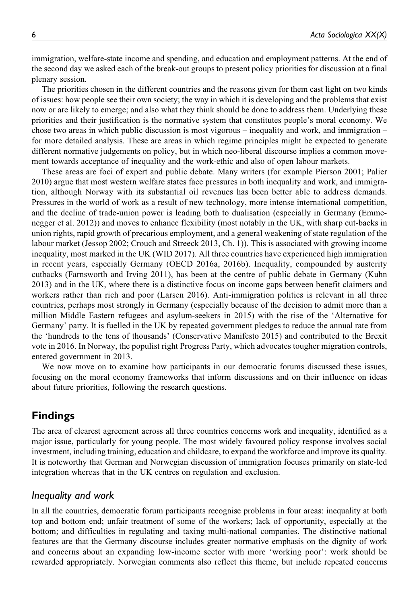immigration, welfare-state income and spending, and education and employment patterns. At the end of the second day we asked each of the break-out groups to present policy priorities for discussion at a final plenary session.

The priorities chosen in the different countries and the reasons given for them cast light on two kinds of issues: how people see their own society; the way in which it is developing and the problems that exist now or are likely to emerge; and also what they think should be done to address them. Underlying these priorities and their justification is the normative system that constitutes people's moral economy. We chose two areas in which public discussion is most vigorous – inequality and work, and immigration – for more detailed analysis. These are areas in which regime principles might be expected to generate different normative judgements on policy, but in which neo-liberal discourse implies a common movement towards acceptance of inequality and the work-ethic and also of open labour markets.

These areas are foci of expert and public debate. Many writers (for example Pierson 2001; Palier 2010) argue that most western welfare states face pressures in both inequality and work, and immigration, although Norway with its substantial oil revenues has been better able to address demands. Pressures in the world of work as a result of new technology, more intense international competition, and the decline of trade-union power is leading both to dualisation (especially in Germany (Emmenegger et al. 2012)) and moves to enhance flexibility (most notably in the UK, with sharp cut-backs in union rights, rapid growth of precarious employment, and a general weakening of state regulation of the labour market (Jessop 2002; Crouch and Streeck 2013, Ch. 1)). This is associated with growing income inequality, most marked in the UK (WID 2017). All three countries have experienced high immigration in recent years, especially Germany (OECD 2016a, 2016b). Inequality, compounded by austerity cutbacks (Farnsworth and Irving 2011), has been at the centre of public debate in Germany (Kuhn 2013) and in the UK, where there is a distinctive focus on income gaps between benefit claimers and workers rather than rich and poor (Larsen 2016). Anti-immigration politics is relevant in all three countries, perhaps most strongly in Germany (especially because of the decision to admit more than a million Middle Eastern refugees and asylum-seekers in 2015) with the rise of the 'Alternative for Germany' party. It is fuelled in the UK by repeated government pledges to reduce the annual rate from the 'hundreds to the tens of thousands' (Conservative Manifesto 2015) and contributed to the Brexit vote in 2016. In Norway, the populist right Progress Party, which advocates tougher migration controls, entered government in 2013.

We now move on to examine how participants in our democratic forums discussed these issues, focusing on the moral economy frameworks that inform discussions and on their influence on ideas about future priorities, following the research questions.

#### Findings

The area of clearest agreement across all three countries concerns work and inequality, identified as a major issue, particularly for young people. The most widely favoured policy response involves social investment, including training, education and childcare, to expand the workforce and improve its quality. It is noteworthy that German and Norwegian discussion of immigration focuses primarily on state-led integration whereas that in the UK centres on regulation and exclusion.

#### *Inequality and work*

In all the countries, democratic forum participants recognise problems in four areas: inequality at both top and bottom end; unfair treatment of some of the workers; lack of opportunity, especially at the bottom; and difficulties in regulating and taxing multi-national companies. The distinctive national features are that the Germany discourse includes greater normative emphasis on the dignity of work and concerns about an expanding low-income sector with more 'working poor': work should be rewarded appropriately. Norwegian comments also reflect this theme, but include repeated concerns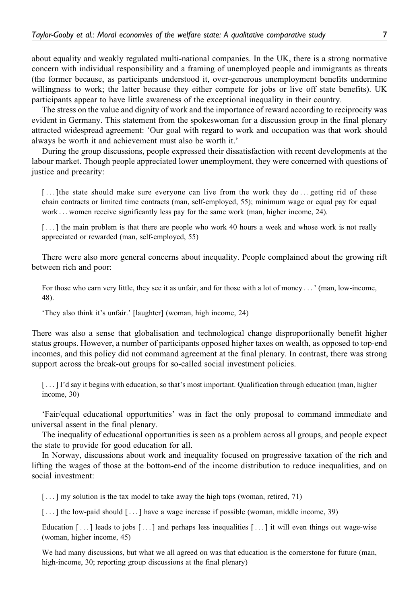about equality and weakly regulated multi-national companies. In the UK, there is a strong normative concern with individual responsibility and a framing of unemployed people and immigrants as threats (the former because, as participants understood it, over-generous unemployment benefits undermine willingness to work; the latter because they either compete for jobs or live off state benefits). UK participants appear to have little awareness of the exceptional inequality in their country.

The stress on the value and dignity of work and the importance of reward according to reciprocity was evident in Germany. This statement from the spokeswoman for a discussion group in the final plenary attracted widespread agreement: 'Our goal with regard to work and occupation was that work should always be worth it and achievement must also be worth it.'

During the group discussions, people expressed their dissatisfaction with recent developments at the labour market. Though people appreciated lower unemployment, they were concerned with questions of justice and precarity:

[...]the state should make sure everyone can live from the work they do...getting rid of these chain contracts or limited time contracts (man, self-employed, 55); minimum wage or equal pay for equal work ... women receive significantly less pay for the same work (man, higher income, 24).

[...] the main problem is that there are people who work 40 hours a week and whose work is not really appreciated or rewarded (man, self-employed, 55)

There were also more general concerns about inequality. People complained about the growing rift between rich and poor:

For those who earn very little, they see it as unfair, and for those with a lot of money ... ' (man, low-income, 48).

'They also think it's unfair.' [laughter] (woman, high income, 24)

There was also a sense that globalisation and technological change disproportionally benefit higher status groups. However, a number of participants opposed higher taxes on wealth, as opposed to top-end incomes, and this policy did not command agreement at the final plenary. In contrast, there was strong support across the break-out groups for so-called social investment policies.

[...] I'd say it begins with education, so that's most important. Qualification through education (man, higher income, 30)

'Fair/equal educational opportunities' was in fact the only proposal to command immediate and universal assent in the final plenary.

The inequality of educational opportunities is seen as a problem across all groups, and people expect the state to provide for good education for all.

In Norway, discussions about work and inequality focused on progressive taxation of the rich and lifting the wages of those at the bottom-end of the income distribution to reduce inequalities, and on social investment:

[...] my solution is the tax model to take away the high tops (woman, retired, 71)

[...] the low-paid should [...] have a wage increase if possible (woman, middle income, 39)

Education  $[\dots]$  leads to jobs  $[\dots]$  and perhaps less inequalities  $[\dots]$  it will even things out wage-wise (woman, higher income, 45)

We had many discussions, but what we all agreed on was that education is the cornerstone for future (man, high-income, 30; reporting group discussions at the final plenary)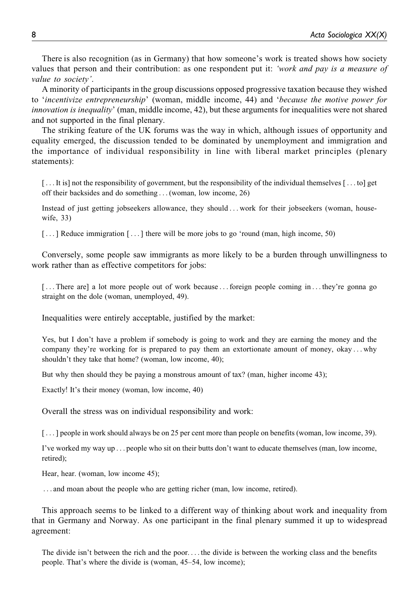There is also recognition (as in Germany) that how someone's work is treated shows how society values that person and their contribution: as one respondent put it: *'work and pay is a measure of value to society'*.

A minority of participants in the group discussions opposed progressive taxation because they wished to '*incentivize entrepreneurship*' (woman, middle income, 44) and '*because the motive power for innovation is inequality*' (man, middle income, 42), but these arguments for inequalities were not shared and not supported in the final plenary.

The striking feature of the UK forums was the way in which, although issues of opportunity and equality emerged, the discussion tended to be dominated by unemployment and immigration and the importance of individual responsibility in line with liberal market principles (plenary statements):

[ ... It is] not the responsibility of government, but the responsibility of the individual themselves [ ... to] get off their backsides and do something ...(woman, low income, 26)

Instead of just getting jobseekers allowance, they should ... work for their jobseekers (woman, housewife, 33)

 $[\dots]$  Reduce immigration  $[\dots]$  there will be more jobs to go 'round (man, high income, 50)

Conversely, some people saw immigrants as more likely to be a burden through unwillingness to work rather than as effective competitors for jobs:

[... There are] a lot more people out of work because ... foreign people coming in ... they're gonna go straight on the dole (woman, unemployed, 49).

Inequalities were entirely acceptable, justified by the market:

Yes, but I don't have a problem if somebody is going to work and they are earning the money and the company they're working for is prepared to pay them an extortionate amount of money, okay ... why shouldn't they take that home? (woman, low income, 40);

But why then should they be paying a monstrous amount of tax? (man, higher income 43);

Exactly! It's their money (woman, low income, 40)

Overall the stress was on individual responsibility and work:

[...] people in work should always be on 25 per cent more than people on benefits (woman, low income, 39).

I've worked my way up ... people who sit on their butts don't want to educate themselves (man, low income, retired);

Hear, hear. (woman, low income 45);

... and moan about the people who are getting richer (man, low income, retired).

This approach seems to be linked to a different way of thinking about work and inequality from that in Germany and Norway. As one participant in the final plenary summed it up to widespread agreement:

The divide isn't between the rich and the poor. ... the divide is between the working class and the benefits people. That's where the divide is (woman, 45–54, low income);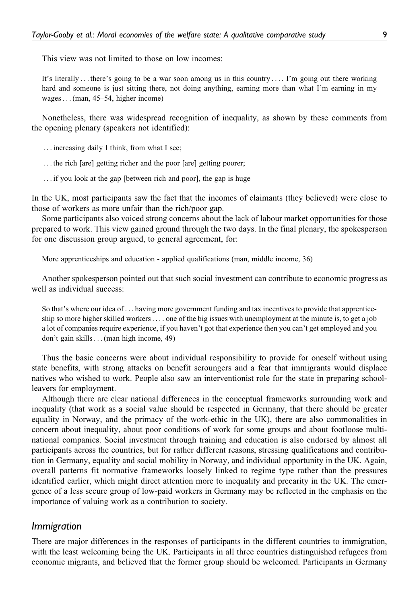This view was not limited to those on low incomes:

It's literally ... there's going to be a war soon among us in this country ... . I'm going out there working hard and someone is just sitting there, not doing anything, earning more than what I'm earning in my wages...(man, 45–54, higher income)

Nonetheless, there was widespread recognition of inequality, as shown by these comments from the opening plenary (speakers not identified):

... increasing daily I think, from what I see;

... the rich [are] getting richer and the poor [are] getting poorer;

... if you look at the gap [between rich and poor], the gap is huge

In the UK, most participants saw the fact that the incomes of claimants (they believed) were close to those of workers as more unfair than the rich/poor gap.

Some participants also voiced strong concerns about the lack of labour market opportunities for those prepared to work. This view gained ground through the two days. In the final plenary, the spokesperson for one discussion group argued, to general agreement, for:

More apprenticeships and education - applied qualifications (man, middle income, 36)

Another spokesperson pointed out that such social investment can contribute to economic progress as well as individual success:

So that's where our idea of... having more government funding and tax incentives to provide that apprenticeship so more higher skilled workers... . one of the big issues with unemployment at the minute is, to get a job a lot of companies require experience, if you haven't got that experience then you can't get employed and you don't gain skills...(man high income, 49)

Thus the basic concerns were about individual responsibility to provide for oneself without using state benefits, with strong attacks on benefit scroungers and a fear that immigrants would displace natives who wished to work. People also saw an interventionist role for the state in preparing schoolleavers for employment.

Although there are clear national differences in the conceptual frameworks surrounding work and inequality (that work as a social value should be respected in Germany, that there should be greater equality in Norway, and the primacy of the work-ethic in the UK), there are also commonalities in concern about inequality, about poor conditions of work for some groups and about footloose multinational companies. Social investment through training and education is also endorsed by almost all participants across the countries, but for rather different reasons, stressing qualifications and contribution in Germany, equality and social mobility in Norway, and individual opportunity in the UK. Again, overall patterns fit normative frameworks loosely linked to regime type rather than the pressures identified earlier, which might direct attention more to inequality and precarity in the UK. The emergence of a less secure group of low-paid workers in Germany may be reflected in the emphasis on the importance of valuing work as a contribution to society.

#### *Immigration*

There are major differences in the responses of participants in the different countries to immigration, with the least welcoming being the UK. Participants in all three countries distinguished refugees from economic migrants, and believed that the former group should be welcomed. Participants in Germany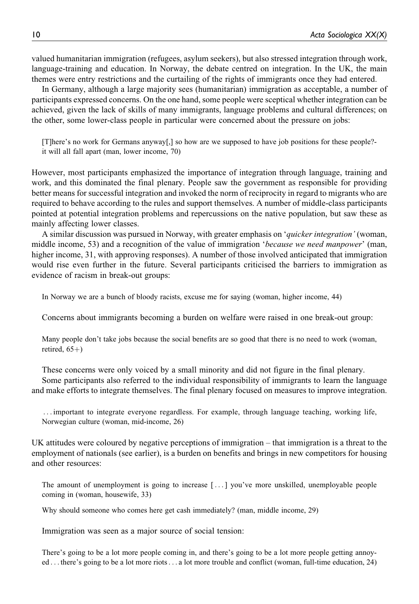valued humanitarian immigration (refugees, asylum seekers), but also stressed integration through work, language-training and education. In Norway, the debate centred on integration. In the UK, the main themes were entry restrictions and the curtailing of the rights of immigrants once they had entered.

In Germany, although a large majority sees (humanitarian) immigration as acceptable, a number of participants expressed concerns. On the one hand, some people were sceptical whether integration can be achieved, given the lack of skills of many immigrants, language problems and cultural differences; on the other, some lower-class people in particular were concerned about the pressure on jobs:

[T]here's no work for Germans anyway[,] so how are we supposed to have job positions for these people? it will all fall apart (man, lower income, 70)

However, most participants emphasized the importance of integration through language, training and work, and this dominated the final plenary. People saw the government as responsible for providing better means for successful integration and invoked the norm of reciprocity in regard to migrants who are required to behave according to the rules and support themselves. A number of middle-class participants pointed at potential integration problems and repercussions on the native population, but saw these as mainly affecting lower classes.

A similar discussion was pursued in Norway, with greater emphasis on '*quicker integration'* (woman, middle income, 53) and a recognition of the value of immigration '*because we need manpower*' (man, higher income, 31, with approving responses). A number of those involved anticipated that immigration would rise even further in the future. Several participants criticised the barriers to immigration as evidence of racism in break-out groups:

In Norway we are a bunch of bloody racists, excuse me for saying (woman, higher income, 44)

Concerns about immigrants becoming a burden on welfare were raised in one break-out group:

Many people don't take jobs because the social benefits are so good that there is no need to work (woman, retired,  $65+)$ 

These concerns were only voiced by a small minority and did not figure in the final plenary. Some participants also referred to the individual responsibility of immigrants to learn the language and make efforts to integrate themselves. The final plenary focused on measures to improve integration.

... important to integrate everyone regardless. For example, through language teaching, working life, Norwegian culture (woman, mid-income, 26)

UK attitudes were coloured by negative perceptions of immigration – that immigration is a threat to the employment of nationals (see earlier), is a burden on benefits and brings in new competitors for housing and other resources:

The amount of unemployment is going to increase [ ...] you've more unskilled, unemployable people coming in (woman, housewife, 33)

Why should someone who comes here get cash immediately? (man, middle income, 29)

Immigration was seen as a major source of social tension:

There's going to be a lot more people coming in, and there's going to be a lot more people getting annoyed ... there's going to be a lot more riots... a lot more trouble and conflict (woman, full-time education, 24)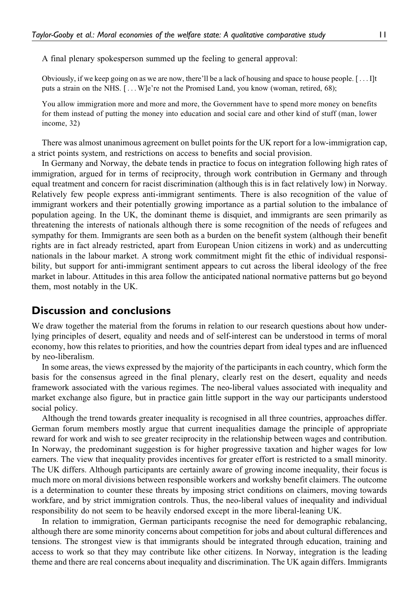A final plenary spokesperson summed up the feeling to general approval:

Obviously, if we keep going on as we are now, there'll be a lack of housing and space to house people. [ ...I]t puts a strain on the NHS. [ ... W]e're not the Promised Land, you know (woman, retired, 68);

You allow immigration more and more and more, the Government have to spend more money on benefits for them instead of putting the money into education and social care and other kind of stuff (man, lower income, 32)

There was almost unanimous agreement on bullet points for the UK report for a low-immigration cap, a strict points system, and restrictions on access to benefits and social provision.

In Germany and Norway, the debate tends in practice to focus on integration following high rates of immigration, argued for in terms of reciprocity, through work contribution in Germany and through equal treatment and concern for racist discrimination (although this is in fact relatively low) in Norway. Relatively few people express anti-immigrant sentiments. There is also recognition of the value of immigrant workers and their potentially growing importance as a partial solution to the imbalance of population ageing. In the UK, the dominant theme is disquiet, and immigrants are seen primarily as threatening the interests of nationals although there is some recognition of the needs of refugees and sympathy for them. Immigrants are seen both as a burden on the benefit system (although their benefit rights are in fact already restricted, apart from European Union citizens in work) and as undercutting nationals in the labour market. A strong work commitment might fit the ethic of individual responsibility, but support for anti-immigrant sentiment appears to cut across the liberal ideology of the free market in labour. Attitudes in this area follow the anticipated national normative patterns but go beyond them, most notably in the UK.

#### Discussion and conclusions

We draw together the material from the forums in relation to our research questions about how underlying principles of desert, equality and needs and of self-interest can be understood in terms of moral economy, how this relates to priorities, and how the countries depart from ideal types and are influenced by neo-liberalism.

In some areas, the views expressed by the majority of the participants in each country, which form the basis for the consensus agreed in the final plenary, clearly rest on the desert, equality and needs framework associated with the various regimes. The neo-liberal values associated with inequality and market exchange also figure, but in practice gain little support in the way our participants understood social policy.

Although the trend towards greater inequality is recognised in all three countries, approaches differ. German forum members mostly argue that current inequalities damage the principle of appropriate reward for work and wish to see greater reciprocity in the relationship between wages and contribution. In Norway, the predominant suggestion is for higher progressive taxation and higher wages for low earners. The view that inequality provides incentives for greater effort is restricted to a small minority. The UK differs. Although participants are certainly aware of growing income inequality, their focus is much more on moral divisions between responsible workers and workshy benefit claimers. The outcome is a determination to counter these threats by imposing strict conditions on claimers, moving towards workfare, and by strict immigration controls. Thus, the neo-liberal values of inequality and individual responsibility do not seem to be heavily endorsed except in the more liberal-leaning UK.

In relation to immigration, German participants recognise the need for demographic rebalancing, although there are some minority concerns about competition for jobs and about cultural differences and tensions. The strongest view is that immigrants should be integrated through education, training and access to work so that they may contribute like other citizens. In Norway, integration is the leading theme and there are real concerns about inequality and discrimination. The UK again differs. Immigrants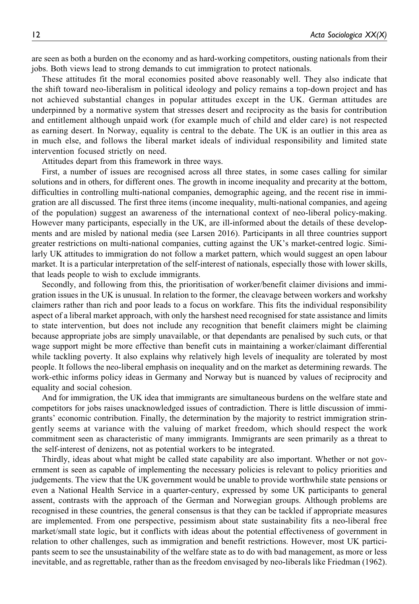are seen as both a burden on the economy and as hard-working competitors, ousting nationals from their jobs. Both views lead to strong demands to cut immigration to protect nationals.

These attitudes fit the moral economies posited above reasonably well. They also indicate that the shift toward neo-liberalism in political ideology and policy remains a top-down project and has not achieved substantial changes in popular attitudes except in the UK. German attitudes are underpinned by a normative system that stresses desert and reciprocity as the basis for contribution and entitlement although unpaid work (for example much of child and elder care) is not respected as earning desert. In Norway, equality is central to the debate. The UK is an outlier in this area as in much else, and follows the liberal market ideals of individual responsibility and limited state intervention focused strictly on need.

Attitudes depart from this framework in three ways.

First, a number of issues are recognised across all three states, in some cases calling for similar solutions and in others, for different ones. The growth in income inequality and precarity at the bottom, difficulties in controlling multi-national companies, demographic ageing, and the recent rise in immigration are all discussed. The first three items (income inequality, multi-national companies, and ageing of the population) suggest an awareness of the international context of neo-liberal policy-making. However many participants, especially in the UK, are ill-informed about the details of these developments and are misled by national media (see Larsen 2016). Participants in all three countries support greater restrictions on multi-national companies, cutting against the UK's market-centred logic. Similarly UK attitudes to immigration do not follow a market pattern, which would suggest an open labour market. It is a particular interpretation of the self-interest of nationals, especially those with lower skills, that leads people to wish to exclude immigrants.

Secondly, and following from this, the prioritisation of worker/benefit claimer divisions and immigration issues in the UK is unusual. In relation to the former, the cleavage between workers and workshy claimers rather than rich and poor leads to a focus on workfare. This fits the individual responsibility aspect of a liberal market approach, with only the harshest need recognised for state assistance and limits to state intervention, but does not include any recognition that benefit claimers might be claiming because appropriate jobs are simply unavailable, or that dependants are penalised by such cuts, or that wage support might be more effective than benefit cuts in maintaining a worker/claimant differential while tackling poverty. It also explains why relatively high levels of inequality are tolerated by most people. It follows the neo-liberal emphasis on inequality and on the market as determining rewards. The work-ethic informs policy ideas in Germany and Norway but is nuanced by values of reciprocity and equality and social cohesion.

And for immigration, the UK idea that immigrants are simultaneous burdens on the welfare state and competitors for jobs raises unacknowledged issues of contradiction. There is little discussion of immigrants' economic contribution. Finally, the determination by the majority to restrict immigration stringently seems at variance with the valuing of market freedom, which should respect the work commitment seen as characteristic of many immigrants. Immigrants are seen primarily as a threat to the self-interest of denizens, not as potential workers to be integrated.

Thirdly, ideas about what might be called state capability are also important. Whether or not government is seen as capable of implementing the necessary policies is relevant to policy priorities and judgements. The view that the UK government would be unable to provide worthwhile state pensions or even a National Health Service in a quarter-century, expressed by some UK participants to general assent, contrasts with the approach of the German and Norwegian groups. Although problems are recognised in these countries, the general consensus is that they can be tackled if appropriate measures are implemented. From one perspective, pessimism about state sustainability fits a neo-liberal free market/small state logic, but it conflicts with ideas about the potential effectiveness of government in relation to other challenges, such as immigration and benefit restrictions. However, most UK participants seem to see the unsustainability of the welfare state as to do with bad management, as more or less inevitable, and as regrettable, rather than as the freedom envisaged by neo-liberals like Friedman (1962).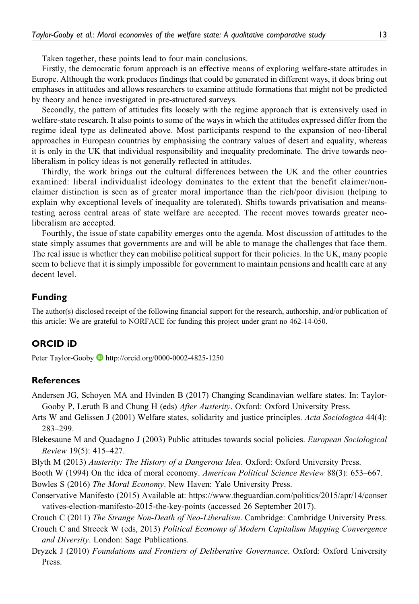Taken together, these points lead to four main conclusions.

Firstly, the democratic forum approach is an effective means of exploring welfare-state attitudes in Europe. Although the work produces findings that could be generated in different ways, it does bring out emphases in attitudes and allows researchers to examine attitude formations that might not be predicted by theory and hence investigated in pre-structured surveys.

Secondly, the pattern of attitudes fits loosely with the regime approach that is extensively used in welfare-state research. It also points to some of the ways in which the attitudes expressed differ from the regime ideal type as delineated above. Most participants respond to the expansion of neo-liberal approaches in European countries by emphasising the contrary values of desert and equality, whereas it is only in the UK that individual responsibility and inequality predominate. The drive towards neoliberalism in policy ideas is not generally reflected in attitudes.

Thirdly, the work brings out the cultural differences between the UK and the other countries examined: liberal individualist ideology dominates to the extent that the benefit claimer/nonclaimer distinction is seen as of greater moral importance than the rich/poor division (helping to explain why exceptional levels of inequality are tolerated). Shifts towards privatisation and meanstesting across central areas of state welfare are accepted. The recent moves towards greater neoliberalism are accepted.

Fourthly, the issue of state capability emerges onto the agenda. Most discussion of attitudes to the state simply assumes that governments are and will be able to manage the challenges that face them. The real issue is whether they can mobilise political support for their policies. In the UK, many people seem to believe that it is simply impossible for government to maintain pensions and health care at any decent level.

#### Funding

The author(s) disclosed receipt of the following financial support for the research, authorship, and/or publication of this article: We are grateful to NORFACE for funding this project under grant no 462-14-050.

#### ORCID iD

Peter Taylor-Gooby D<http://orcid.org/0000-0002-4825-1250>

#### References

- Andersen JG, Schoyen MA and Hvinden B (2017) Changing Scandinavian welfare states. In: Taylor-Gooby P, Leruth B and Chung H (eds) *After Austerity*. Oxford: Oxford University Press.
- Arts W and Gelissen J (2001) Welfare states, solidarity and justice principles. *Acta Sociologica* 44(4): 283–299.
- Blekesaune M and Quadagno J (2003) Public attitudes towards social policies. *European Sociological Review* 19(5): 415–427.
- Blyth M (2013) *Austerity: The History of a Dangerous Idea*. Oxford: Oxford University Press.
- Booth W (1994) On the idea of moral economy. *American Political Science Review* 88(3): 653–667.
- Bowles S (2016) *The Moral Economy*. New Haven: Yale University Press.
- Conservative Manifesto (2015) Available at: [https://www.theguardian.com/politics/2015/apr/14/conser](https://www.theguardian.com/politics/2015/apr/14/conservatives-election-manifesto-2015-the-key-points) [vatives-election-manifesto-2015-the-key-points](https://www.theguardian.com/politics/2015/apr/14/conservatives-election-manifesto-2015-the-key-points) (accessed 26 September 2017).

Crouch C (2011) *The Strange Non-Death of Neo-Liberalism*. Cambridge: Cambridge University Press.

- Crouch C and Streeck W (eds, 2013) *Political Economy of Modern Capitalism Mapping Convergence and Diversity*. London: Sage Publications.
- Dryzek J (2010) *Foundations and Frontiers of Deliberative Governance*. Oxford: Oxford University Press.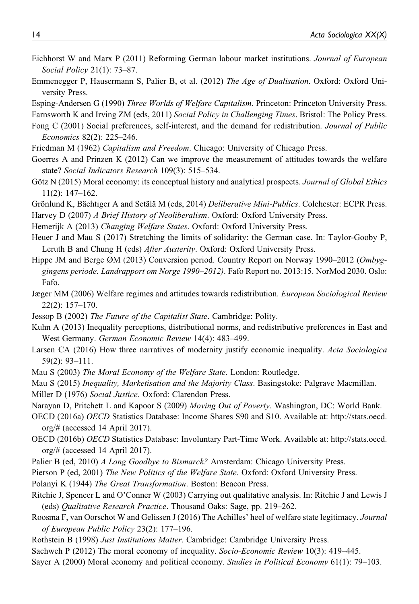- Eichhorst W and Marx P (2011) Reforming German labour market institutions. *Journal of European Social Policy* 21(1): 73–87.
- Emmenegger P, Hausermann S, Palier B, et al. (2012) *The Age of Dualisation*. Oxford: Oxford University Press.

Esping-Andersen G (1990) *Three Worlds of Welfare Capitalism*. Princeton: Princeton University Press.

Farnsworth K and Irving ZM (eds, 2011) *Social Policy in Challenging Times*. Bristol: The Policy Press.

- Fong C (2001) Social preferences, self-interest, and the demand for redistribution. *Journal of Public Economics* 82(2): 225–246.
- Friedman M (1962) *Capitalism and Freedom*. Chicago: University of Chicago Press.
- Goerres A and Prinzen K (2012) Can we improve the measurement of attitudes towards the welfare state? *Social Indicators Research* 109(3): 515–534.
- Götz N (2015) Moral economy: its conceptual history and analytical prospects. *Journal of Global Ethics* 11(2): 147–162.
- Grönlund K, Bächtiger A and Setälä M (eds, 2014) *Deliberative Mini-Publics*. Colchester: ECPR Press.
- Harvey D (2007) *A Brief History of Neoliberalism*. Oxford: Oxford University Press.
- Hemerijk A (2013) *Changing Welfare States*. Oxford: Oxford University Press.
- Heuer J and Mau S (2017) Stretching the limits of solidarity: the German case. In: Taylor-Gooby P, Leruth B and Chung H (eds) *After Austerity*. Oxford: Oxford University Press.
- Hippe JM and Berge ØM (2013) Conversion period. Country Report on Norway 1990–2012 (*Ombyggingens periode. Landrapport om Norge 1990–2012)*. Fafo Report no. 2013:15. NorMod 2030. Oslo: Fafo.
- Jæger MM (2006) Welfare regimes and attitudes towards redistribution. *European Sociological Review* 22(2): 157–170.
- Jessop B (2002) *The Future of the Capitalist State*. Cambridge: Polity.
- Kuhn A (2013) Inequality perceptions, distributional norms, and redistributive preferences in East and West Germany. *German Economic Review* 14(4): 483–499.
- Larsen CA (2016) How three narratives of modernity justify economic inequality. *Acta Sociologica* 59(2): 93–111.
- Mau S (2003) *The Moral Economy of the Welfare State*. London: Routledge.
- Mau S (2015) *Inequality, Marketisation and the Majority Class*. Basingstoke: Palgrave Macmillan.
- Miller D (1976) *Social Justice*. Oxford: Clarendon Press.
- Narayan D, Pritchett L and Kapoor S (2009) *Moving Out of Poverty*. Washington, DC: World Bank.
- OECD (2016a) *OECD* Statistics Database: Income Shares S90 and S10. Available at: [http://stats.oecd.](http://stats.oecd.org/#) [org/#](http://stats.oecd.org/#) (accessed 14 April 2017).
- OECD (2016b) *OECD* Statistics Database: Involuntary Part-Time Work. Available at: [http://stats.oecd.](http://stats.oecd.org/#) [org/#](http://stats.oecd.org/#) (accessed 14 April 2017).
- Palier B (ed, 2010) *A Long Goodbye to Bismarck?* Amsterdam: Chicago University Press.
- Pierson P (ed, 2001) *The New Politics of the Welfare State*. Oxford: Oxford University Press.
- Polanyi K (1944) *The Great Transformation*. Boston: Beacon Press.
- Ritchie J, Spencer L and O'Conner W (2003) Carrying out qualitative analysis. In: Ritchie J and Lewis J (eds) *Qualitative Research Practice*. Thousand Oaks: Sage, pp. 219–262.
- Roosma F, van Oorschot W and Gelissen J (2016) The Achilles' heel of welfare state legitimacy. *Journal of European Public Policy* 23(2): 177–196.
- Rothstein B (1998) *Just Institutions Matter*. Cambridge: Cambridge University Press.
- Sachweh P (2012) The moral economy of inequality. *Socio-Economic Review* 10(3): 419–445.
- Sayer A (2000) Moral economy and political economy. *Studies in Political Economy* 61(1): 79–103.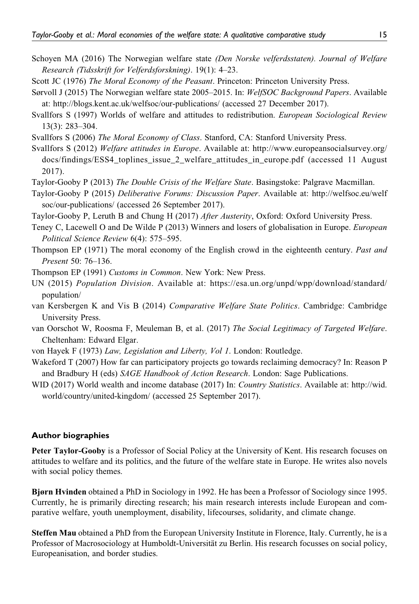- Schoyen MA (2016) The Norwegian welfare state *(Den Norske velferdsstaten). Journal of Welfare Research (Tidsskrift for Velferdsforskning)*. 19(1): 4–23.
- Scott JC (1976) *The Moral Economy of the Peasant*. Princeton: Princeton University Press.
- Sørvoll J (2015) The Norwegian welfare state 2005–2015. In: *WelfSOC Background Papers*. Available at:<http://blogs.kent.ac.uk/welfsoc/our-publications/> (accessed 27 December 2017).
- Svallfors S (1997) Worlds of welfare and attitudes to redistribution. *European Sociological Review* 13(3): 283–304.
- Svallfors S (2006) *The Moral Economy of Class*. Stanford, CA: Stanford University Press.
- Svallfors S (2012) *Welfare attitudes in Europe*. Available at: [http://www.europeansocialsurvey.org/](http://www.europeansocialsurvey.org/docs/findings/ESS4_toplines_issue_2_welfare_attitudes_in_europe.pdf) [docs/findings/ESS4\\_toplines\\_issue\\_2\\_welfare\\_attitudes\\_in\\_europe.pdf](http://www.europeansocialsurvey.org/docs/findings/ESS4_toplines_issue_2_welfare_attitudes_in_europe.pdf) (accessed 11 August 2017).
- Taylor-Gooby P (2013) *The Double Crisis of the Welfare State*. Basingstoke: Palgrave Macmillan.
- Taylor-Gooby P (2015) *Deliberative Forums: Discussion Paper*. Available at: [http://welfsoc.eu/welf](http://welfsoc.eu/welfsoc/our-publications/) [soc/our-publications/](http://welfsoc.eu/welfsoc/our-publications/) (accessed 26 September 2017).
- Taylor-Gooby P, Leruth B and Chung H (2017) *After Austerity*, Oxford: Oxford University Press.
- Teney C, Lacewell O and De Wilde P (2013) Winners and losers of globalisation in Europe. *European Political Science Review* 6(4): 575–595.
- Thompson EP (1971) The moral economy of the English crowd in the eighteenth century. *Past and Present* 50: 76–136.
- Thompson EP (1991) *Customs in Common*. New York: New Press.
- UN (2015) *Population Division*. Available at: [https://esa.un.org/unpd/wpp/download/standard/](https://esa.un.org/unpd/wpp/download/standard/population/) [population/](https://esa.un.org/unpd/wpp/download/standard/population/)
- van Kersbergen K and Vis B (2014) *Comparative Welfare State Politics*. Cambridge: Cambridge University Press.
- van Oorschot W, Roosma F, Meuleman B, et al. (2017) *The Social Legitimacy of Targeted Welfare*. Cheltenham: Edward Elgar.
- von Hayek F (1973) *Law, Legislation and Liberty, Vol 1*. London: Routledge.
- Wakeford T (2007) How far can participatory projects go towards reclaiming democracy? In: Reason P and Bradbury H (eds) *SAGE Handbook of Action Research*. London: Sage Publications.
- WID (2017) World wealth and income database (2017) In: *Country Statistics*. Available at: [http://wid.](http://wid.world/country/united-kingdom/) [world/country/united-kingdom/](http://wid.world/country/united-kingdom/) (accessed 25 September 2017).

#### Author biographies

Peter Taylor-Gooby is a Professor of Social Policy at the University of Kent. His research focuses on attitudes to welfare and its politics, and the future of the welfare state in Europe. He writes also novels with social policy themes.

Bjørn Hvinden obtained a PhD in Sociology in 1992. He has been a Professor of Sociology since 1995. Currently, he is primarily directing research; his main research interests include European and comparative welfare, youth unemployment, disability, lifecourses, solidarity, and climate change.

Steffen Mau obtained a PhD from the European University Institute in Florence, Italy. Currently, he is a Professor of Macrosociology at Humboldt-Universität zu Berlin. His research focusses on social policy, Europeanisation, and border studies.